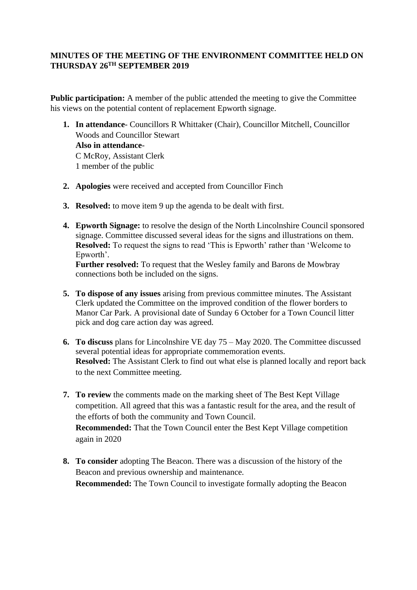## **MINUTES OF THE MEETING OF THE ENVIRONMENT COMMITTEE HELD ON THURSDAY 26TH SEPTEMBER 2019**

**Public participation:** A member of the public attended the meeting to give the Committee his views on the potential content of replacement Epworth signage.

- **1. In attendance** Councillors R Whittaker (Chair), Councillor Mitchell, Councillor Woods and Councillor Stewart **Also in attendance**-C McRoy, Assistant Clerk 1 member of the public
- **2. Apologies** were received and accepted from Councillor Finch
- **3. Resolved:** to move item 9 up the agenda to be dealt with first.
- **4. Epworth Signage:** to resolve the design of the North Lincolnshire Council sponsored signage. Committee discussed several ideas for the signs and illustrations on them. **Resolved:** To request the signs to read 'This is Epworth' rather than 'Welcome to Epworth'.

**Further resolved:** To request that the Wesley family and Barons de Mowbray connections both be included on the signs.

- **5. To dispose of any issues** arising from previous committee minutes. The Assistant Clerk updated the Committee on the improved condition of the flower borders to Manor Car Park. A provisional date of Sunday 6 October for a Town Council litter pick and dog care action day was agreed.
- **6. To discuss** plans for Lincolnshire VE day 75 May 2020. The Committee discussed several potential ideas for appropriate commemoration events. **Resolved:** The Assistant Clerk to find out what else is planned locally and report back to the next Committee meeting.
- **7. To review** the comments made on the marking sheet of The Best Kept Village competition. All agreed that this was a fantastic result for the area, and the result of the efforts of both the community and Town Council. **Recommended:** That the Town Council enter the Best Kept Village competition again in 2020
- **8. To consider** adopting The Beacon. There was a discussion of the history of the Beacon and previous ownership and maintenance. **Recommended:** The Town Council to investigate formally adopting the Beacon